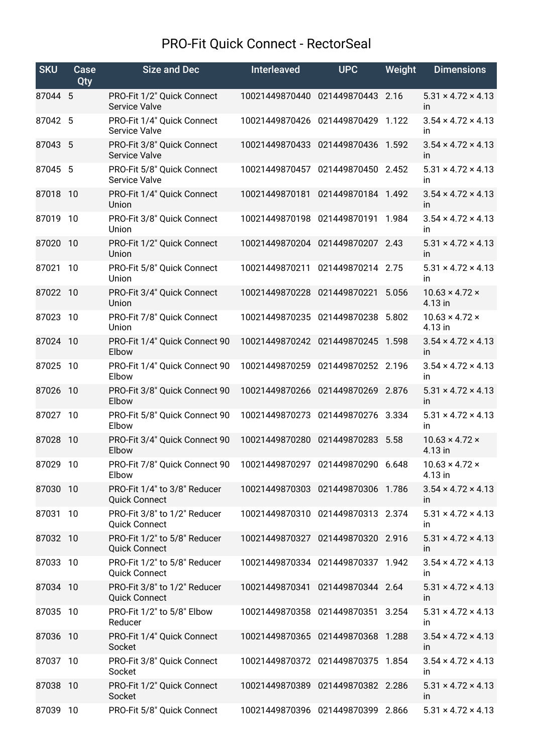## PRO-Fit Quick Connect - RectorSeal

| <b>SKU</b> | Case<br>Qty | <b>Size and Dec</b>                                                         | <b>Interleaved</b>                | <b>UPC</b>         | Weight | <b>Dimensions</b>                           |
|------------|-------------|-----------------------------------------------------------------------------|-----------------------------------|--------------------|--------|---------------------------------------------|
| 87044 5    |             | PRO-Fit 1/2" Quick Connect<br><b>Service Valve</b>                          | 10021449870440                    | 021449870443       | 2.16   | $5.31 \times 4.72 \times 4.13$<br><i>in</i> |
| 87042 5    |             | PRO-Fit 1/4" Quick Connect<br>Service Valve                                 | 10021449870426 021449870429       |                    | 1.122  | $3.54 \times 4.72 \times 4.13$<br><i>in</i> |
| 87043 5    |             | PRO-Fit 3/8" Quick Connect<br>Service Valve                                 | 10021449870433                    | 021449870436 1.592 |        | $3.54 \times 4.72 \times 4.13$<br>in        |
| 87045 5    |             | PRO-Fit 5/8" Quick Connect<br><b>Service Valve</b>                          | 10021449870457                    | 021449870450       | 2.452  | $5.31 \times 4.72 \times 4.13$<br><i>in</i> |
| 87018 10   |             | PRO-Fit 1/4" Quick Connect<br>Union                                         | 10021449870181                    | 021449870184 1.492 |        | $3.54 \times 4.72 \times 4.13$<br>in        |
| 87019      | 10          | PRO-Fit 3/8" Quick Connect<br>Union                                         | 10021449870198                    | 021449870191       | 1.984  | $3.54 \times 4.72 \times 4.13$<br>in.       |
| 87020      | 10          | PRO-Fit 1/2" Quick Connect<br>Union                                         | 10021449870204 021449870207 2.43  |                    |        | $5.31 \times 4.72 \times 4.13$<br>in        |
| 87021      | 10          | PRO-Fit 5/8" Quick Connect<br>Union                                         | 10021449870211                    | 021449870214 2.75  |        | $5.31 \times 4.72 \times 4.13$<br>in        |
| 87022 10   |             | PRO-Fit 3/4" Quick Connect<br>Union                                         | 10021449870228                    | 021449870221       | 5.056  | $10.63 \times 4.72 \times$<br>4.13 in       |
| 87023      | 10          | PRO-Fit 7/8" Quick Connect<br>Union                                         | 10021449870235                    | 021449870238       | 5.802  | $10.63 \times 4.72 \times$<br>4.13 in       |
| 87024 10   |             | PRO-Fit 1/4" Quick Connect 90<br>Elbow                                      | 10021449870242                    | 021449870245       | 1.598  | $3.54 \times 4.72 \times 4.13$<br><i>in</i> |
| 87025      | 10          | PRO-Fit 1/4" Quick Connect 90<br>Elbow                                      | 10021449870259                    | 021449870252 2.196 |        | $3.54 \times 4.72 \times 4.13$<br>in        |
| 87026      | 10          | PRO-Fit 3/8" Quick Connect 90<br>Elbow                                      | 10021449870266                    | 021449870269 2.876 |        | $5.31 \times 4.72 \times 4.13$<br>in        |
| 87027 10   |             | PRO-Fit 5/8" Quick Connect 90<br>Elbow                                      | 10021449870273 021449870276       |                    | 3.334  | $5.31 \times 4.72 \times 4.13$<br><i>in</i> |
| 87028 10   |             | PRO-Fit 3/4" Quick Connect 90<br>Elbow                                      | 10021449870280 021449870283 5.58  |                    |        | $10.63 \times 4.72 \times$<br>4.13 in       |
| 87029 10   |             | PRO-Fit 7/8" Quick Connect 90  10021449870297  021449870290  6.648<br>Elbow |                                   |                    |        | $10.63 \times 4.72 \times$<br>4.13 in       |
| 87030      | 10          | PRO-Fit 1/4" to 3/8" Reducer<br><b>Quick Connect</b>                        | 10021449870303 021449870306 1.786 |                    |        | $3.54 \times 4.72 \times 4.13$<br>in.       |
| 87031      | 10          | PRO-Fit 3/8" to 1/2" Reducer<br><b>Quick Connect</b>                        | 10021449870310 021449870313 2.374 |                    |        | $5.31 \times 4.72 \times 4.13$<br>in.       |
| 87032 10   |             | PRO-Fit 1/2" to 5/8" Reducer<br><b>Quick Connect</b>                        | 10021449870327 021449870320 2.916 |                    |        | $5.31 \times 4.72 \times 4.13$<br>in.       |
| 87033 10   |             | PRO-Fit 1/2" to 5/8" Reducer<br><b>Quick Connect</b>                        | 10021449870334 021449870337 1.942 |                    |        | $3.54 \times 4.72 \times 4.13$<br><i>in</i> |
| 87034 10   |             | PRO-Fit 3/8" to 1/2" Reducer<br><b>Quick Connect</b>                        | 10021449870341                    | 021449870344 2.64  |        | $5.31 \times 4.72 \times 4.13$<br>in.       |
| 87035 10   |             | PRO-Fit 1/2" to 5/8" Elbow<br>Reducer                                       | 10021449870358 021449870351 3.254 |                    |        | $5.31 \times 4.72 \times 4.13$<br>in.       |
| 87036 10   |             | PRO-Fit 1/4" Quick Connect<br>Socket                                        | 10021449870365 021449870368 1.288 |                    |        | $3.54 \times 4.72 \times 4.13$<br>in        |
| 87037 10   |             | PRO-Fit 3/8" Quick Connect<br>Socket                                        | 10021449870372 021449870375 1.854 |                    |        | $3.54 \times 4.72 \times 4.13$<br>in        |
| 87038 10   |             | PRO-Fit 1/2" Quick Connect<br>Socket                                        | 10021449870389 021449870382 2.286 |                    |        | $5.31 \times 4.72 \times 4.13$<br>in        |
| 87039 10   |             | PRO-Fit 5/8" Quick Connect                                                  | 10021449870396 021449870399 2.866 |                    |        | $5.31 \times 4.72 \times 4.13$              |